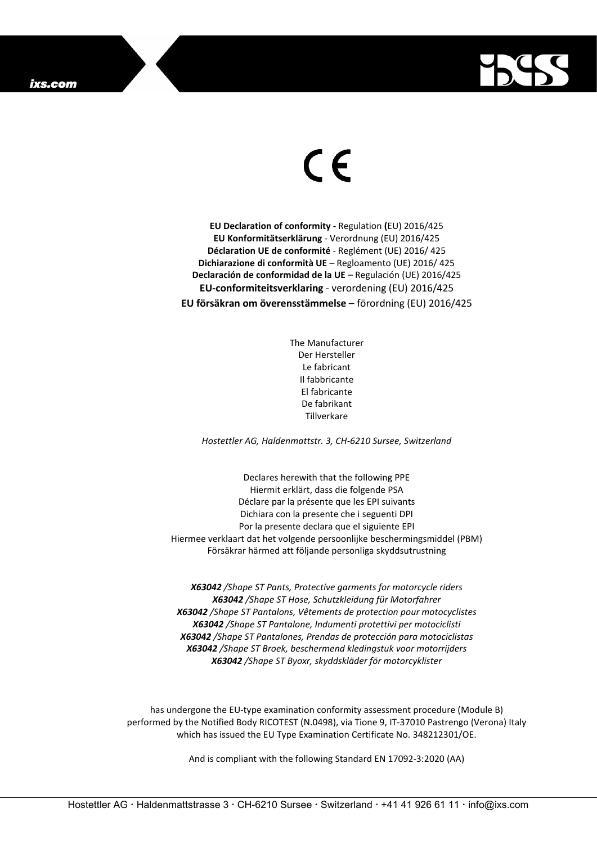

## $\epsilon$

**EU Declaration of conformity -** Regulation **(**EU) 2016/425 **EU Konformitätserklärung** - Verordnung (EU) 2016/425 **Déclaration UE de conformité** - Reglément (UE) 2016/ 425 **Dichiarazione di conformità UE** – Regloamento (UE) 2016/ 425 **Declaración de conformidad de la UE** – Regulación (UE) 2016/425 **EU-conformiteitsverklaring** - verordening (EU) 2016/425 **EU försäkran om överensstämmelse** – förordning (EU) 2016/425

> The Manufacturer Der Hersteller Le fabricant Il fabbricante El fabricante De fabrikant Tillverkare

*Hostettler AG, Haldenmattstr. 3, CH-6210 Sursee, Switzerland*

Declares herewith that the following PPE Hiermit erklärt, dass die folgende PSA Déclare par la présente que les EPI suivants Dichiara con la presente che i seguenti DPI Por la presente declara que el siguiente EPI Hiermee verklaart dat het volgende persoonlijke beschermingsmiddel (PBM) Försäkrar härmed att följande personliga skyddsutrustning

*X63042 /Shape ST Pants, Protective garments for motorcycle riders X63042 /Shape ST Hose, Schutzkleidung für Motorfahrer X63042 /Shape ST Pantalons, Vêtements de protection pour motocyclistes X63042 /Shape ST Pantalone, Indumenti protettivi per motociclisti X63042 /Shape ST Pantalones, Prendas de protección para motociclistas X63042 /Shape ST Broek, beschermend kledingstuk voor motorrijders X63042 /Shape ST Byoxr, skyddskläder för motorcyklister*

has undergone the EU-type examination conformity assessment procedure (Module B) performed by the Notified Body RICOTEST (N.0498), via Tione 9, IT-37010 Pastrengo (Verona) Italy which has issued the EU Type Examination Certificate No. 348212301/OE.

And is compliant with the following Standard EN 17092-3:2020 (AA)